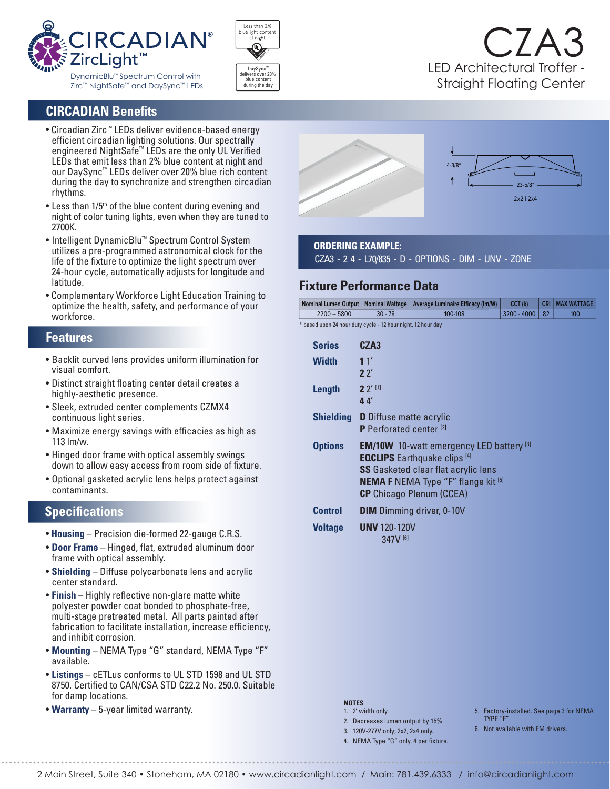



## CZA3 LED Architectural Troffer - Straight Floating Center

## **CIRCADIAN Benefits**

- Circadian Zirc™ LEDs deliver evidence-based energy efficient circadian lighting solutions. Our spectrally engineered NightSafe™ LEDs are the only UL Verified LEDs that emit less than 2% blue content at night and our DaySync™ LEDs deliver over 20% blue rich content during the day to synchronize and strengthen circadian rhythms.
- $\bullet$  Less than 1/5<sup>th</sup> of the blue content during evening and night of color tuning lights, even when they are tuned to 2700K.
- Intelligent DynamicBlu™ Spectrum Control System utilizes a pre-programmed astronomical clock for the life of the fixture to optimize the light spectrum over 24-hour cycle, automatically adjusts for longitude and latitude.
- Complementary Workforce Light Education Training to optimize the health, safety, and performance of your workforce.

#### **Features**

- Backlit curved lens provides uniform illumination for visual comfort.
- Distinct straight floating center detail creates a highly-aesthetic presence.
- Sleek, extruded center complements CZMX4 continuous light series.
- Maximize energy savings with efficacies as high as 113 lm/w.
- Hinged door frame with optical assembly swings down to allow easy access from room side of fixture.
- Optional gasketed acrylic lens helps protect against contaminants.

#### **Specifications**

- **Housing** Precision die-formed 22-gauge C.R.S.
- **Door Frame** Hinged, flat, extruded aluminum door frame with optical assembly.
- **Shielding** Diffuse polycarbonate lens and acrylic center standard.
- **Finish** Highly reflective non-glare matte white polyester powder coat bonded to phosphate-free, multi-stage pretreated metal. All parts painted after fabrication to facilitate installation, increase efficiency, and inhibit corrosion.
- **Mounting** NEMA Type "G" standard, NEMA Type "F" available.
- **Listings** cETLus conforms to UL STD 1598 and UL STD 8750. Certified to CAN/CSA STD C22.2 No. 250.0. Suitable for damp locations.
- **Warranty** 5-year limited warranty.



#### **ORDERING EXAMPLE:**

CZA3 - 2 4 - L70/835 - D - OPTIONS - DIM - UNV - ZONE

### **Fixture Performance Data**

|                                                                                       |               |           | Nominal Lumen Output   Nominal Wattage   Average Luminaire Efficacy (Im/W) | CCT (k)            |  | CRI   MAX WATTAGE |
|---------------------------------------------------------------------------------------|---------------|-----------|----------------------------------------------------------------------------|--------------------|--|-------------------|
|                                                                                       | $2200 - 5800$ | $30 - 78$ | 100-108                                                                    | $ 3200 - 4000  82$ |  | 100               |
| $\mathcal{N}$ and $\mathcal{N}$ and $\mathcal{N}$ and $\mathcal{N}$ and $\mathcal{N}$ |               |           |                                                                            |                    |  |                   |

based upon 24 hour duty cycle - 12 hour night, 12 hour day

| <b>Series</b>  | CZA3                                                                                                                                                                                                                                  |  |  |
|----------------|---------------------------------------------------------------------------------------------------------------------------------------------------------------------------------------------------------------------------------------|--|--|
| Width          | 11'<br>22'                                                                                                                                                                                                                            |  |  |
| Length         | $2^{7}$ <sup>[1]</sup><br>44                                                                                                                                                                                                          |  |  |
|                | <b>Shielding D</b> Diffuse matte acrylic<br>P Perforated center <sup>[2]</sup>                                                                                                                                                        |  |  |
| <b>Options</b> | <b>EM/10W</b> 10-watt emergency LED battery $^{[3]}$<br><b>EQCLIPS</b> Earthquake clips <sup>[4]</sup><br><b>SS</b> Gasketed clear flat acrylic lens<br><b>NEMA F NEMA Type "F" flange kit [5]</b><br><b>CP</b> Chicago Plenum (CCEA) |  |  |
| <b>Control</b> | <b>DIM</b> Dimming driver, 0-10V                                                                                                                                                                                                      |  |  |
| <b>Voltage</b> | <b>UNV</b> 120-120V<br>$347V^{[6]}$                                                                                                                                                                                                   |  |  |

#### **NOTES**

- 1. 2' width only
- 2. Decreases lumen output by 15%
- 3. 120V-277V only; 2x2, 2x4 only.
- 4. NEMA Type "G" only. 4 per fixture.
- 5. Factory-installed. See page 3 for NEMA TYPE "F"
- 6. Not available with EM drivers.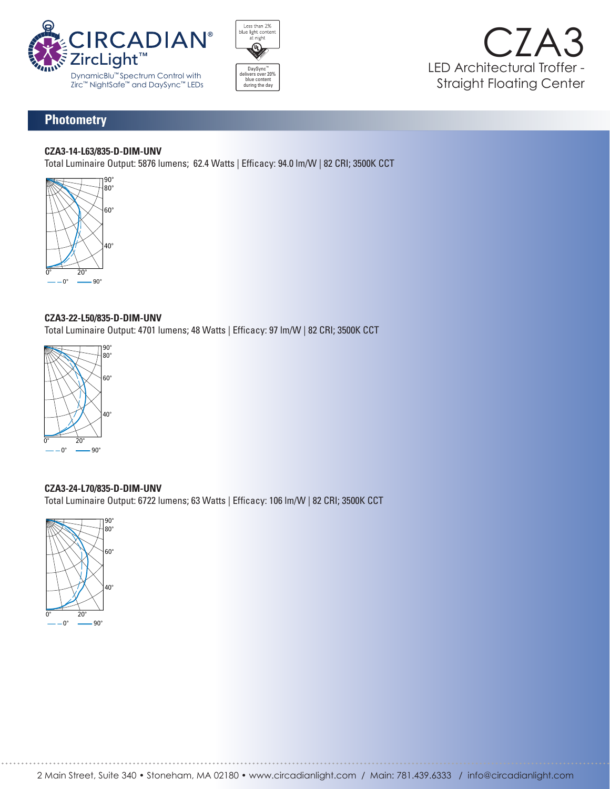





## **Photometry**

#### **CZA3-14-L63/835-D-DIM-UNV**

Total Luminaire Output: 5876 lumens; 62.4 Watts | Efficacy: 94.0 lm/W | 82 CRI; 3500K CCT



# **CZA3-22-L50/835-D-DIM-UNV C**

Total Luminaire Output: 4701 lumens; 48 Watts | Efficacy: 97 Im/W | 82 CRI; 3500K CCT Ince the Luminaire Output: 4701 lumens; 48 Watts | Efficacy: 97 lm/W | 82 CRI; 3 **LUMEN SUMMARY** Luminaire Output: 4701 lumens; 48 Watts | Efficacy: 97 lm/W | 82 C 90 0 0 0

65 655 635 469 582 75 319 227 208 281



#### **CZA3-24-L70/835-D-DIM-UNV** 90° 90 0 0 0

Total Luminaire Output: 6722 lumens; 63 Watts | Efficacy: 106 lm/W | 82 CRI; 3500K CCT **N**<br>t: *S* $\frac{1}{2}$  **D D M**  $\frac{1}{2}$  **D M**  $\frac{1}{2}$  **D W**  $\frac{1}{2}$  **B W**  $\frac{1}{2}$  **B**  $\frac{1}{2}$  **D**  $\frac{1}{2}$  **D**  $\frac{1}{2}$  **D**  $\frac{1}{2}$  **D**  $\frac{1}{2}$  **D**  $\frac{1}{2}$  **D**  $\frac{1}{2}$  **D**  $\frac{1}{2}$  **D**  $\frac{1}{2}$  **D**  $\frac{1}{2}$  **D**  $\frac{1}{2}$  **D**  $\frac{1}{2}$  **D \frac LUMEN SUMMARY** 0 - 40 3188 47 0 - 60 5384 80 5384 **LUMEN SUMMARY ZONE LUMENS % FIXTURE**